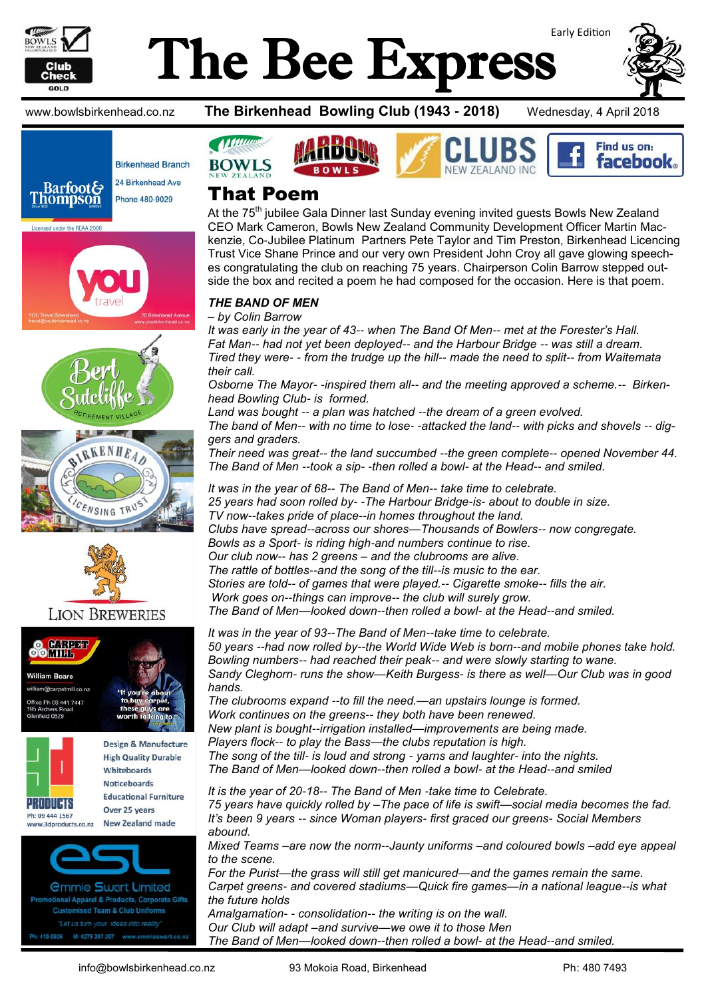

# Early Edition The Bee Express



www.bowlsbirkenhead.co.nz **The Birkenhead Bowling Club (1943 - 2018)** Wednesday, 4 April 2018











### **LION BREWERIES**



vww.3dproducts.co.nz



*<u>Ommie Swart Limited</u>* onal Apparel & Products, Corporate Gifts Customised Team & Club Uniforms 419-0926 M: 0275 297-297 www.emmiesw







### That Poem

At the 75<sup>th</sup> jubilee Gala Dinner last Sunday evening invited guests Bowls New Zealand CEO Mark Cameron, Bowls New Zealand Community Development Officer Martin Mackenzie, Co-Jubilee Platinum Partners Pete Taylor and Tim Preston, Birkenhead Licencing Trust Vice Shane Prince and our very own President John Croy all gave glowing speeches congratulating the club on reaching 75 years. Chairperson Colin Barrow stepped outside the box and recited a poem he had composed for the occasion. Here is that poem.

#### *THE BAND OF MEN*

*– by Colin Barrow*

*It was early in the year of 43-- when The Band Of Men-- met at the Forester's Hall. Fat Man-- had not yet been deployed-- and the Harbour Bridge -- was still a dream. Tired they were- - from the trudge up the hill-- made the need to split-- from Waitemata their call.*

*Osborne The Mayor- -inspired them all-- and the meeting approved a scheme.-- Birkenhead Bowling Club- is formed.*

*Land was bought -- a plan was hatched --the dream of a green evolved. The band of Men-- with no time to lose- -attacked the land-- with picks and shovels -- diggers and graders.*

*Their need was great-- the land succumbed --the green complete-- opened November 44. The Band of Men --took a sip- -then rolled a bowl- at the Head-- and smiled.*

*It was in the year of 68-- The Band of Men-- take time to celebrate. 25 years had soon rolled by- -The Harbour Bridge-is- about to double in size. TV now--takes pride of place--in homes throughout the land. Clubs have spread--across our shores—Thousands of Bowlers-- now congregate. Bowls as a Sport- is riding high-and numbers continue to rise. Our club now-- has 2 greens – and the clubrooms are alive. The rattle of bottles--and the song of the till--is music to the ear. Stories are told-- of games that were played.-- Cigarette smoke-- fills the air. Work goes on--things can improve-- the club will surely grow. The Band of Men—looked down--then rolled a bowl- at the Head--and smiled.*

*It was in the year of 93--The Band of Men--take time to celebrate. 50 years --had now rolled by--the World Wide Web is born--and mobile phones take hold. Bowling numbers-- had reached their peak-- and were slowly starting to wane. Sandy Cleghorn- runs the show—Keith Burgess- is there as well—Our Club was in good hands. The clubrooms expand --to fill the need.—an upstairs lounge is formed. Work continues on the greens-- they both have been renewed. New plant is bought--irrigation installed—improvements are being made. Players flock-- to play the Bass—the clubs reputation is high.*

*The song of the till- is loud and strong - yarns and laughter- into the nights. The Band of Men—looked down--then rolled a bowl- at the Head--and smiled*

*It is the year of 20-18-- The Band of Men -take time to Celebrate. 75 years have quickly rolled by –The pace of life is swift—social media becomes the fad. It's been 9 years -- since Woman players- first graced our greens- Social Members abound.*

*Mixed Teams –are now the norm--Jaunty uniforms –and coloured bowls –add eye appeal to the scene.*

*For the Purist—the grass will still get manicured—and the games remain the same. Carpet greens- and covered stadiums—Quick fire games—in a national league--is what the future holds Amalgamation- - consolidation-- the writing is on the wall. Our Club will adapt –and survive—we owe it to those Men*